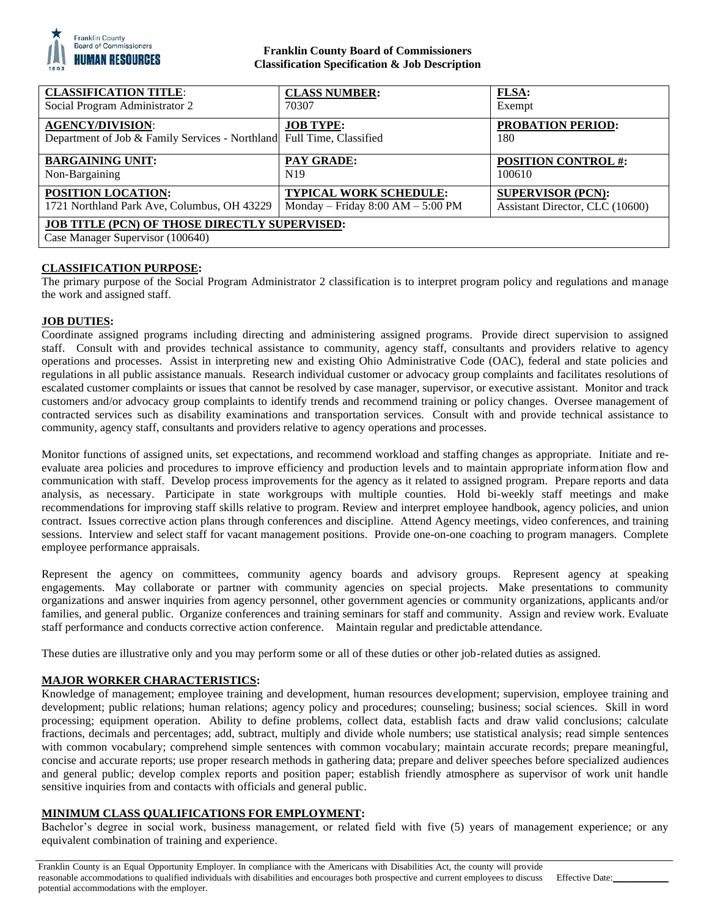

## **Franklin County Board of Commissioners Classification Specification & Job Description**

| <b>CLASSIFICATION TITLE:</b>                                                                     | <b>CLASS NUMBER:</b>                | <b>FLSA:</b>                    |
|--------------------------------------------------------------------------------------------------|-------------------------------------|---------------------------------|
| Social Program Administrator 2                                                                   | 70307                               | Exempt                          |
| <b>AGENCY/DIVISION:</b><br>Department of Job & Family Services - Northland Full Time, Classified | <b>JOB TYPE:</b>                    | <b>PROBATION PERIOD:</b><br>180 |
| <b>BARGAINING UNIT:</b>                                                                          | <b>PAY GRADE:</b>                   | <b>POSITION CONTROL #:</b>      |
| Non-Bargaining                                                                                   | N <sub>19</sub>                     | 100610                          |
| POSITION LOCATION:                                                                               | <b>TYPICAL WORK SCHEDULE:</b>       | <b>SUPERVISOR (PCN):</b>        |
| 1721 Northland Park Ave, Columbus, OH 43229                                                      | Monday – Friday $8:00 AM - 5:00 PM$ | Assistant Director, CLC (10600) |
| <b>JOB TITLE (PCN) OF THOSE DIRECTLY SUPERVISED:</b><br>Case Manager Supervisor (100640)         |                                     |                                 |

# **CLASSIFICATION PURPOSE:**

The primary purpose of the Social Program Administrator 2 classification is to interpret program policy and regulations and manage the work and assigned staff.

### **JOB DUTIES:**

Coordinate assigned programs including directing and administering assigned programs. Provide direct supervision to assigned staff. Consult with and provides technical assistance to community, agency staff, consultants and providers relative to agency operations and processes. Assist in interpreting new and existing Ohio Administrative Code (OAC), federal and state policies and regulations in all public assistance manuals. Research individual customer or advocacy group complaints and facilitates resolutions of escalated customer complaints or issues that cannot be resolved by case manager, supervisor, or executive assistant. Monitor and track customers and/or advocacy group complaints to identify trends and recommend training or policy changes. Oversee management of contracted services such as disability examinations and transportation services. Consult with and provide technical assistance to community, agency staff, consultants and providers relative to agency operations and processes.

Monitor functions of assigned units, set expectations, and recommend workload and staffing changes as appropriate. Initiate and reevaluate area policies and procedures to improve efficiency and production levels and to maintain appropriate information flow and communication with staff. Develop process improvements for the agency as it related to assigned program. Prepare reports and data analysis, as necessary. Participate in state workgroups with multiple counties. Hold bi-weekly staff meetings and make recommendations for improving staff skills relative to program. Review and interpret employee handbook, agency policies, and union contract. Issues corrective action plans through conferences and discipline. Attend Agency meetings, video conferences, and training sessions. Interview and select staff for vacant management positions. Provide one-on-one coaching to program managers. Complete employee performance appraisals.

Represent the agency on committees, community agency boards and advisory groups. Represent agency at speaking engagements. May collaborate or partner with community agencies on special projects. Make presentations to community organizations and answer inquiries from agency personnel, other government agencies or community organizations, applicants and/or families, and general public. Organize conferences and training seminars for staff and community. Assign and review work. Evaluate staff performance and conducts corrective action conference. Maintain regular and predictable attendance.

These duties are illustrative only and you may perform some or all of these duties or other job-related duties as assigned.

### **MAJOR WORKER CHARACTERISTICS:**

Knowledge of management; employee training and development, human resources development; supervision, employee training and development; public relations; human relations; agency policy and procedures; counseling; business; social sciences. Skill in word processing; equipment operation. Ability to define problems, collect data, establish facts and draw valid conclusions; calculate fractions, decimals and percentages; add, subtract, multiply and divide whole numbers; use statistical analysis; read simple sentences with common vocabulary; comprehend simple sentences with common vocabulary; maintain accurate records; prepare meaningful, concise and accurate reports; use proper research methods in gathering data; prepare and deliver speeches before specialized audiences and general public; develop complex reports and position paper; establish friendly atmosphere as supervisor of work unit handle sensitive inquiries from and contacts with officials and general public.

## **MINIMUM CLASS QUALIFICATIONS FOR EMPLOYMENT:**

Bachelor's degree in social work, business management, or related field with five (5) years of management experience; or any equivalent combination of training and experience.

Franklin County is an Equal Opportunity Employer. In compliance with the Americans with Disabilities Act, the county will provide reasonable accommodations to qualified individuals with disabilities and encourages both prospective and current employees to discuss potential accommodations with the employer. Effective Date: